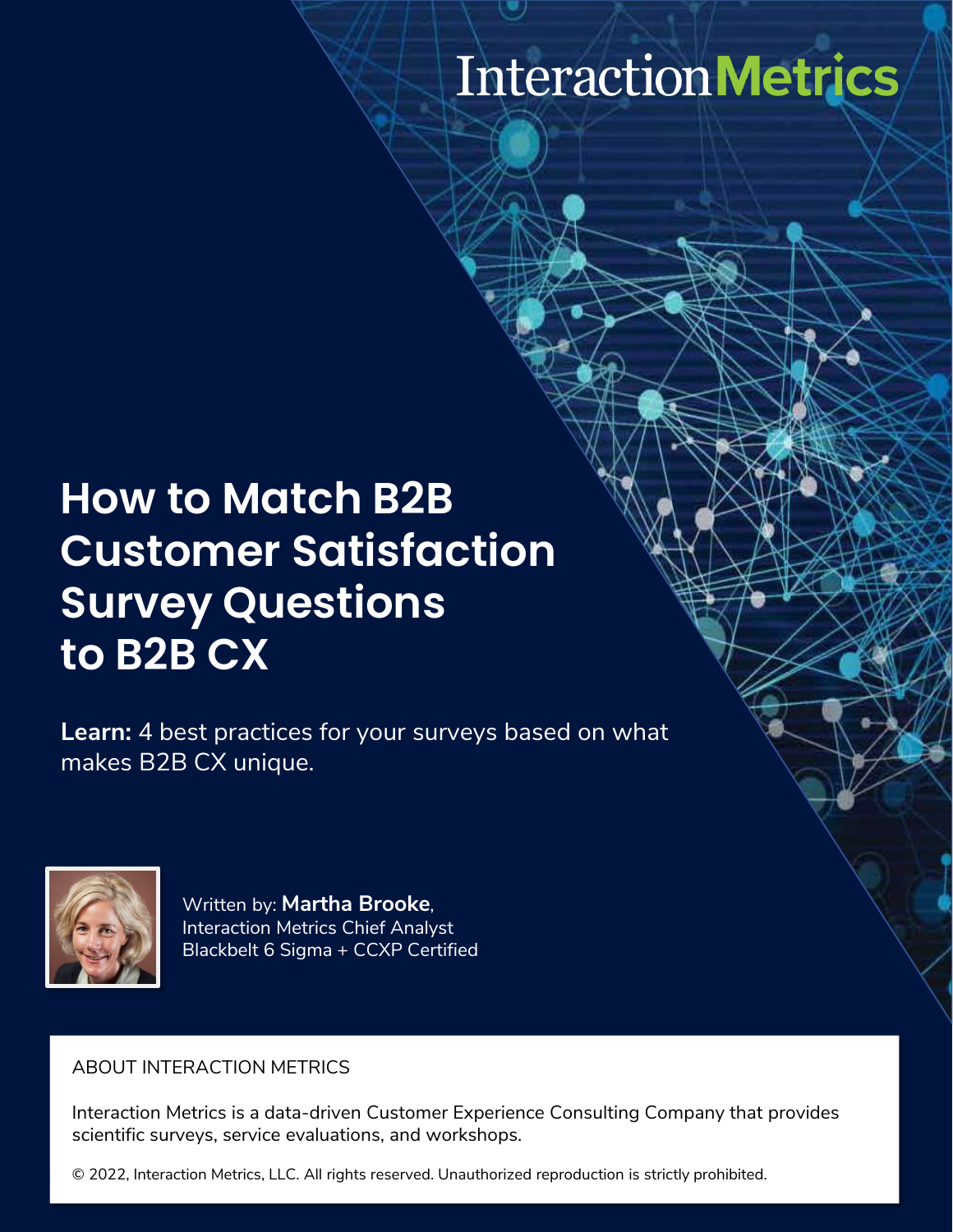# InteractionMetrics

## **How to Match B2B Customer Satisfaction Survey Questions to B2B CX**

**Learn:** 4 best practices for your surveys based on what makes B2B CX unique.



Written by: **Martha Brooke**, Interaction Metrics Chief Analyst Blackbelt 6 Sigma + CCXP Certified

#### ABOUT INTERACTION METRICS

Interaction Metrics is a data-driven Customer Experience Consulting Company that provides scientific surveys, service evaluations, and workshops.

 $\Box$  © 2022, Interaction Metrics, LLC. All rights reserved. Unauthorized reproduction is strictly prohibited.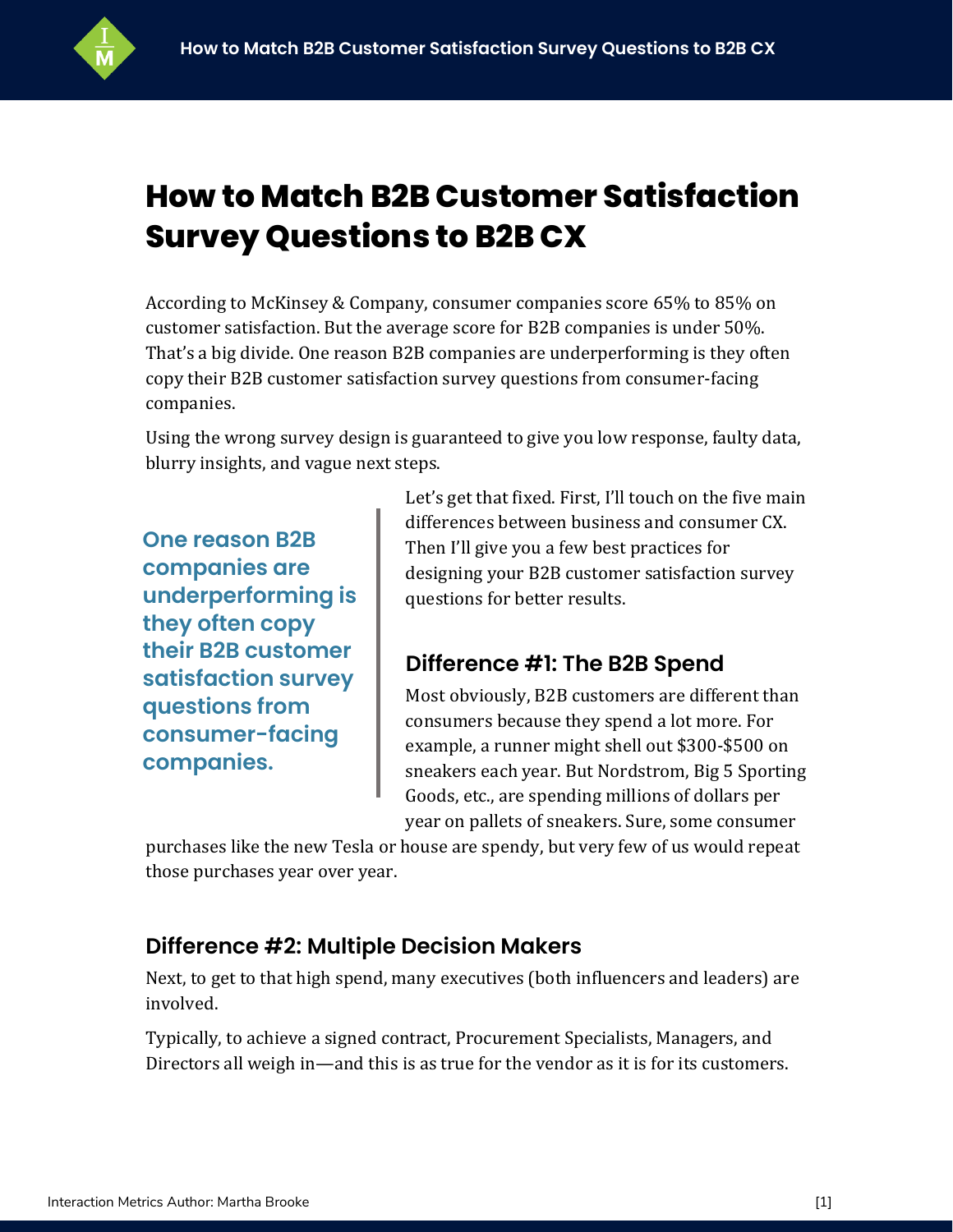

### **How to Match B2B Customer Satisfaction Survey Questions to B2B CX**

According to McKinsey & Company, consumer companies score 65% to 85% on customer satisfaction. But the average score for B2B companies is under 50%. That's a big divide. One reason B2B companies are underperforming is they often copy their B2B customer satisfaction survey questions from consumer-facing companies.

Using the wrong survey design is guaranteed to give you low response, faulty data, blurry insights, and vague next steps.

**One reason B2B companies are underperforming is they often copy their B2B customer satisfaction survey questions from consumer-facing companies.**

Let's get that fixed. First, I'll touch on the five main differences between business and consumer CX. Then I'll give you a few best practices for designing your B2B customer satisfaction survey questions for better results.

#### **Difference #1: The B2B Spend**

Most obviously, B2B customers are different than consumers because they spend a lot more. For example, a runner might shell out \$300-\$500 on sneakers each year. But Nordstrom, Big 5 Sporting Goods, etc., are spending millions of dollars per year on pallets of sneakers. Sure, some consumer

purchases like the new Tesla or house are spendy, but very few of us would repeat those purchases year over year.

#### **Difference #2: Multiple Decision Makers**

Next, to get to that high spend, many executives (both influencers and leaders) are involved.

Typically, to achieve a signed contract, Procurement Specialists, Managers, and Directors all weigh in—and this is as true for the vendor as it is for its customers.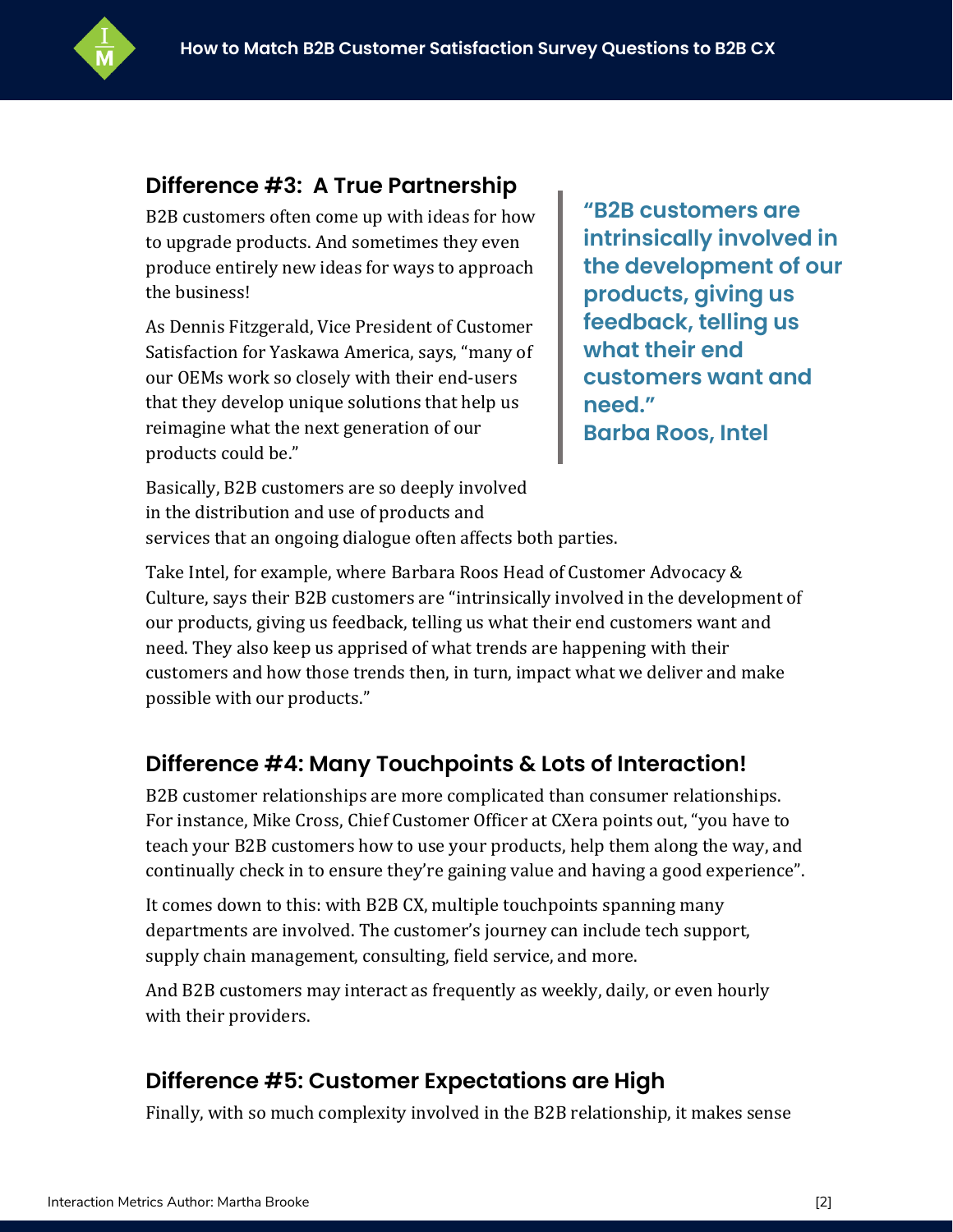

#### **Difference #3: A True Partnership**

B2B customers often come up with ideas for how to upgrade products. And sometimes they even produce entirely new ideas for ways to approach the business!

As Dennis Fitzgerald, Vice President of Customer Satisfaction for Yaskawa America, says, "many of our OEMs work so closely with their end-users that they develop unique solutions that help us reimagine what the next generation of our products could be."

**"B2B customers are intrinsically involved in the development of our products, giving us feedback, telling us what their end customers want and need." Barba Roos, Intel**

Basically, B2B customers are so deeply involved in the distribution and use of products and services that an ongoing dialogue often affects both parties.

Take Intel, for example, where Barbara Roos Head of Customer Advocacy & Culture, says their B2B customers are "intrinsically involved in the development of our products, giving us feedback, telling us what their end customers want and need. They also keep us apprised of what trends are happening with their customers and how those trends then, in turn, impact what we deliver and make possible with our products."

#### **Difference #4: Many Touchpoints & Lots of Interaction!**

B2B customer relationships are more complicated than consumer relationships. For instance, Mike Cross, Chief Customer Officer at CXera points out, "you have to teach your B2B customers how to use your products, help them along the way, and continually check in to ensure they're gaining value and having a good experience".

It comes down to this: with B2B CX, multiple touchpoints spanning many departments are involved. The customer's journey can include tech support, supply chain management, consulting, field service, and more.

And B2B customers may interact as frequently as weekly, daily, or even hourly with their providers.

#### **Difference #5: Customer Expectations are High**

Finally, with so much complexity involved in the B2B relationship, it makes sense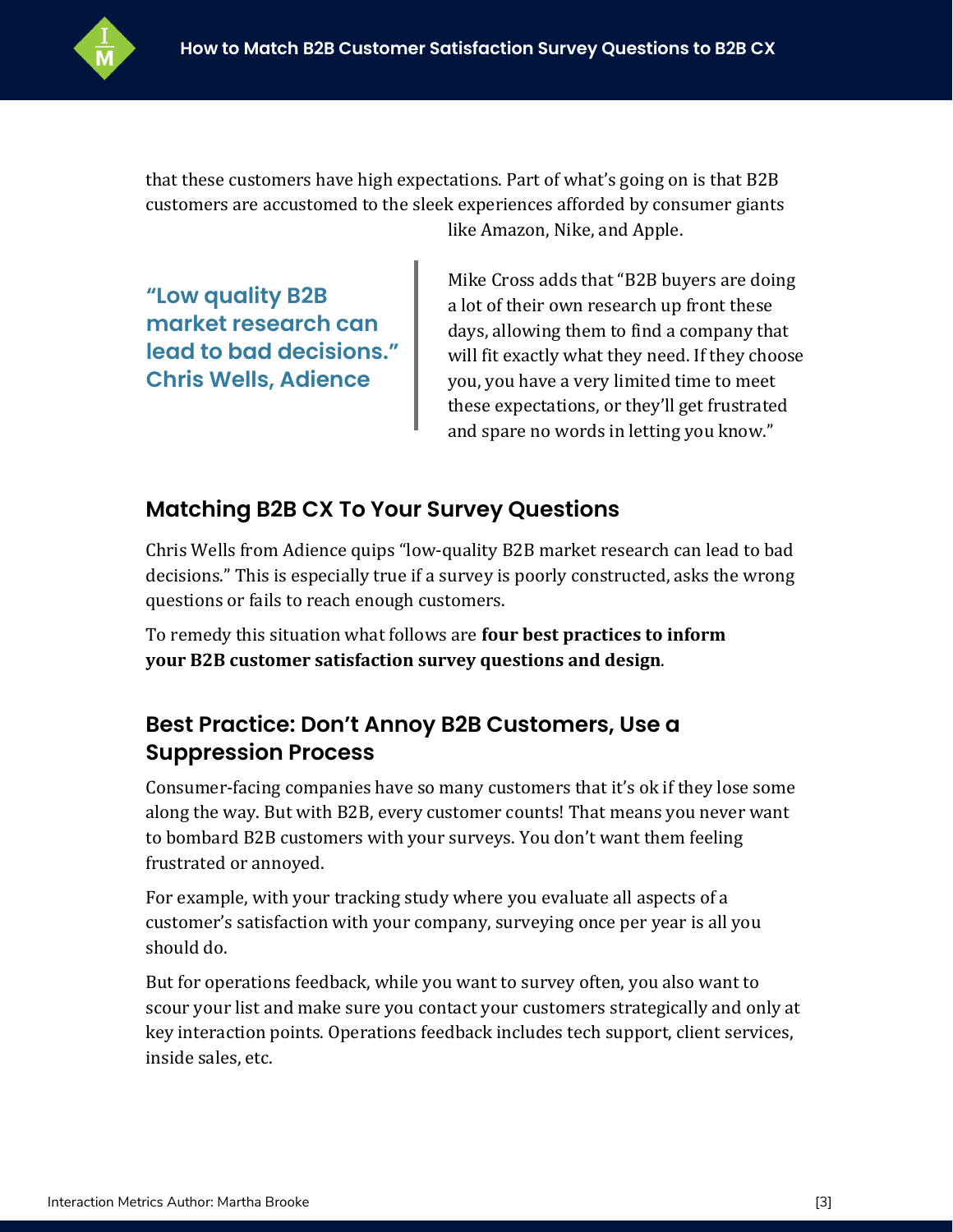

that these customers have high expectations. Part of what's going on is that B2B customers are accustomed to the sleek experiences afforded by consumer giants like Amazon, Nike, and Apple.

**"Low quality B2B market research can lead to bad decisions." Chris Wells, Adience**

Mike Cross adds that "B2B buyers are doing a lot of their own research up front these days, allowing them to find a company that will fit exactly what they need. If they choose you, you have a very limited time to meet these expectations, or they'll get frustrated and spare no words in letting you know."

#### **Matching B2B CX To Your Survey Questions**

Chris Wells from Adience quips "low-quality B2B market research can lead to bad decisions." This is especially true if a survey is poorly constructed, asks the wrong questions or fails to reach enough customers.

To remedy this situation what follows are **four best practices to inform your B2B customer satisfaction survey questions and design**.

#### **Best Practice: Don't Annoy B2B Customers, Use a Suppression Process**

Consumer-facing companies have so many customers that it's ok if they lose some along the way. But with B2B, every customer counts! That means you never want to bombard B2B customers with your surveys. You don't want them feeling frustrated or annoyed.

For example, with your tracking study where you evaluate all aspects of a customer's satisfaction with your company, surveying once per year is all you should do.

But for operations feedback, while you want to survey often, you also want to scour your list and make sure you contact your customers strategically and only at key interaction points. Operations feedback includes tech support, client services, inside sales, etc.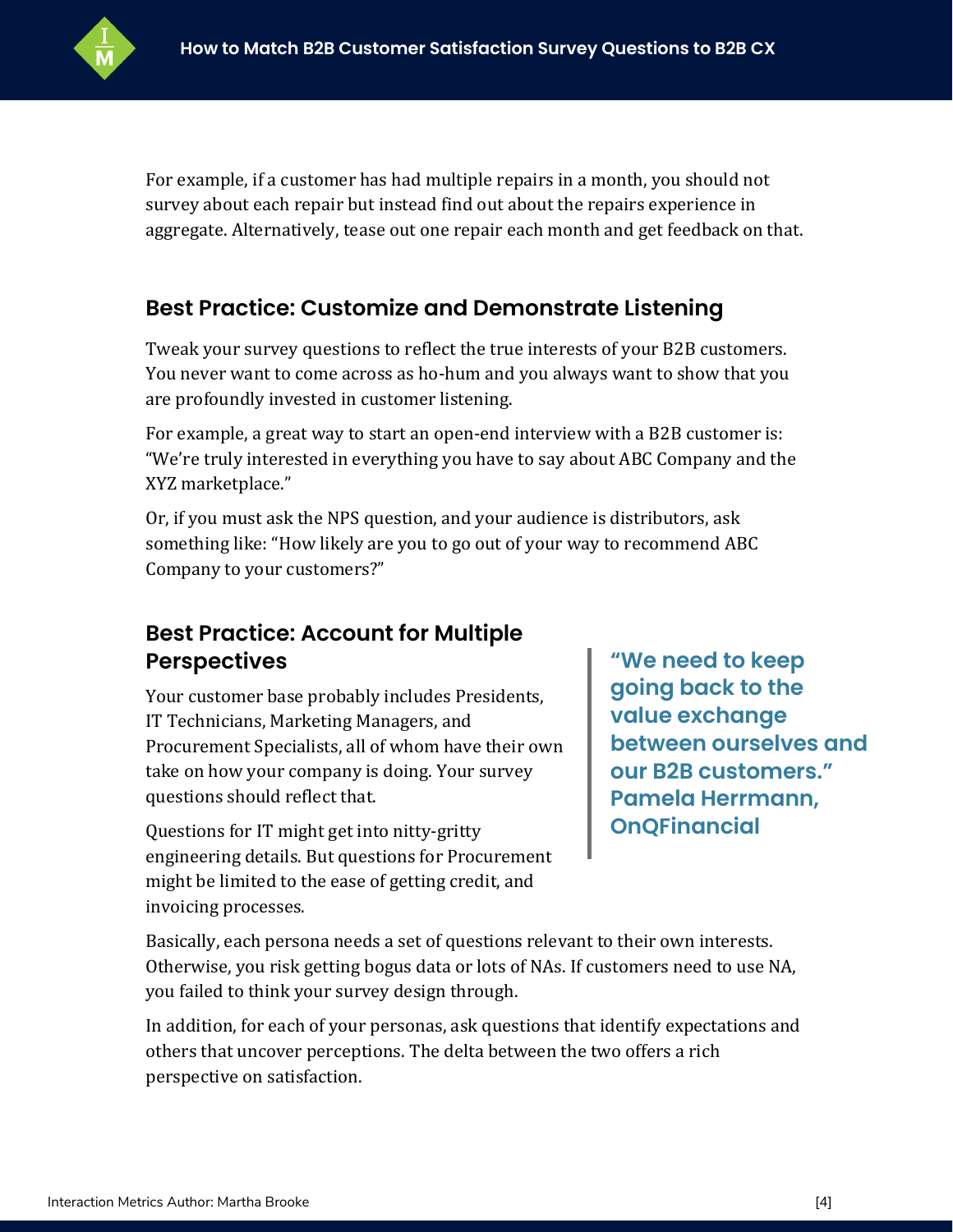

For example, if a customer has had multiple repairs in a month, you should not survey about each repair but instead find out about the repairs experience in aggregate. Alternatively, tease out one repair each month and get feedback on that.

#### **Best Practice: Customize and Demonstrate Listening**

Tweak your survey questions to reflect the true interests of your B2B customers. You never want to come across as ho-hum and you always want to show that you are profoundly invested in customer listening.

For example, a great way to start an open-end interview with a B2B customer is: "We're truly interested in everything you have to say about ABC Company and the XYZ marketplace."

Or, if you must ask the NPS question, and your audience is distributors, ask something like: "How likely are you to go out of your way to recommend ABC Company to your customers?"

#### **Best Practice: Account for Multiple Perspectives**

Your customer base probably includes Presidents, IT Technicians, Marketing Managers, and Procurement Specialists, all of whom have their own take on how your company is doing. Your survey questions should reflect that.

Questions for IT might get into nitty-gritty engineering details. But questions for Procurement might be limited to the ease of getting credit, and invoicing processes.

**"We need to keep going back to the value exchange between ourselves and our B2B customers." Pamela Herrmann, OnQFinancial**

Basically, each persona needs a set of questions relevant to their own interests. Otherwise, you risk getting bogus data or lots of NAs. If customers need to use NA, you failed to think your survey design through.

In addition, for each of your personas, ask questions that identify expectations and others that uncover perceptions. The delta between the two offers a rich perspective on satisfaction.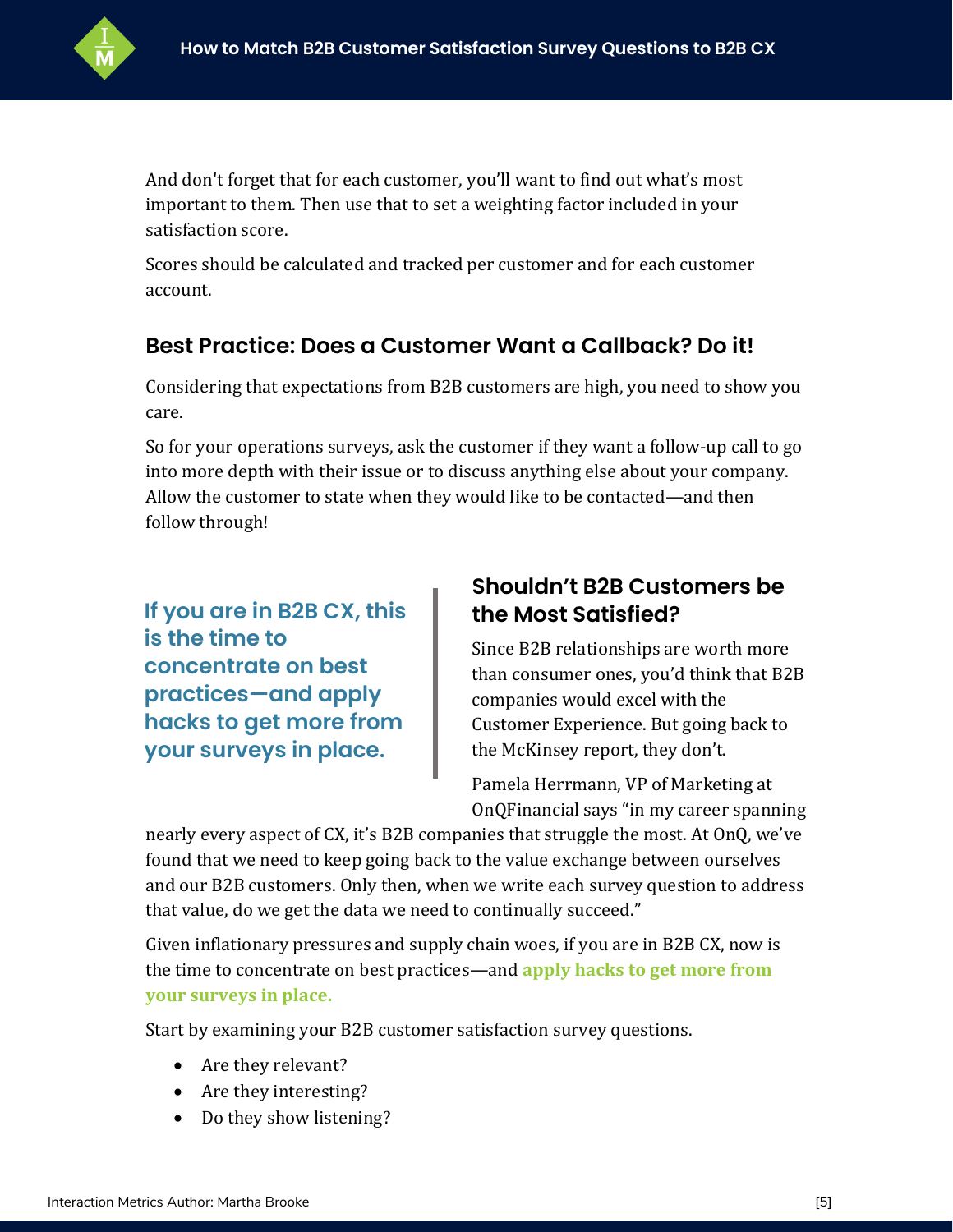

And don't forget that for each customer, you'll want to find out what's most important to them. Then use that to set a weighting factor included in your satisfaction score.

Scores should be calculated and tracked per customer and for each customer account.

#### **Best Practice: Does a Customer Want a Callback? Do it!**

Considering that expectations from B2B customers are high, you need to show you care.

So for your operations surveys, ask the customer if they want a follow-up call to go into more depth with their issue or to discuss anything else about your company. Allow the customer to state when they would like to be contacted—and then follow through!

**If you are in B2B CX, this is the time to concentrate on best practices—and apply hacks to get more from your surveys in place.** 

#### **Shouldn't B2B Customers be the Most Satisfied?**

Since B2B relationships are worth more than consumer ones, you'd think that B2B companies would excel with the Customer Experience. But going back to the McKinsey report, they don't.

Pamela Herrmann, VP of Marketing at OnQFinancial says "in my career spanning

nearly every aspect of CX, it's B2B companies that struggle the most. At OnQ, we've found that we need to keep going back to the value exchange between ourselves and our B2B customers. Only then, when we write each survey question to address that value, do we get the data we need to continually succeed."

Given inflationary pressures and supply chain woes, if you are in B2B CX, now is the time to concentrate on best practices—and **[apply hacks to get more from](https://interactionmetrics.com/customer-success-5-hacks-to-improve-your-customer-survey/)  [your surveys in place.](https://interactionmetrics.com/customer-success-5-hacks-to-improve-your-customer-survey/)**

Start by examining your B2B customer satisfaction survey questions.

- Are they relevant?
- Are they interesting?
- Do they show listening?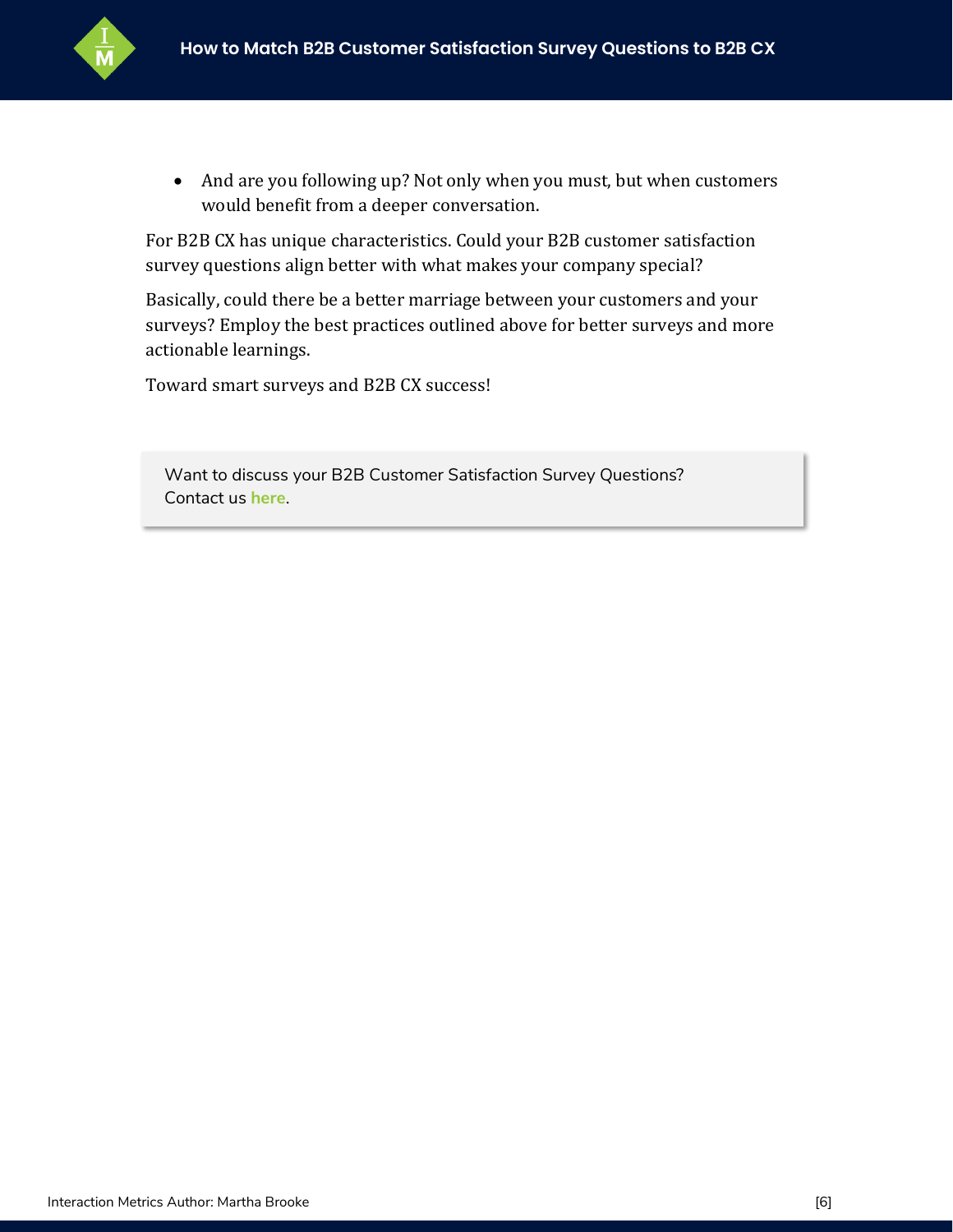

• And are you following up? Not only when you must, but when customers would benefit from a deeper conversation.

For B2B CX has unique characteristics. Could your B2B customer satisfaction survey questions align better with what makes your company special?

Basically, could there be a better marriage between your customers and your surveys? Employ the best practices outlined above for better surveys and more actionable learnings.

Toward smart surveys and B2B CX success!

Want to discuss your B2B Customer Satisfaction Survey Questions? Contact us **[here](https://interactionmetrics.com/contact/)**.